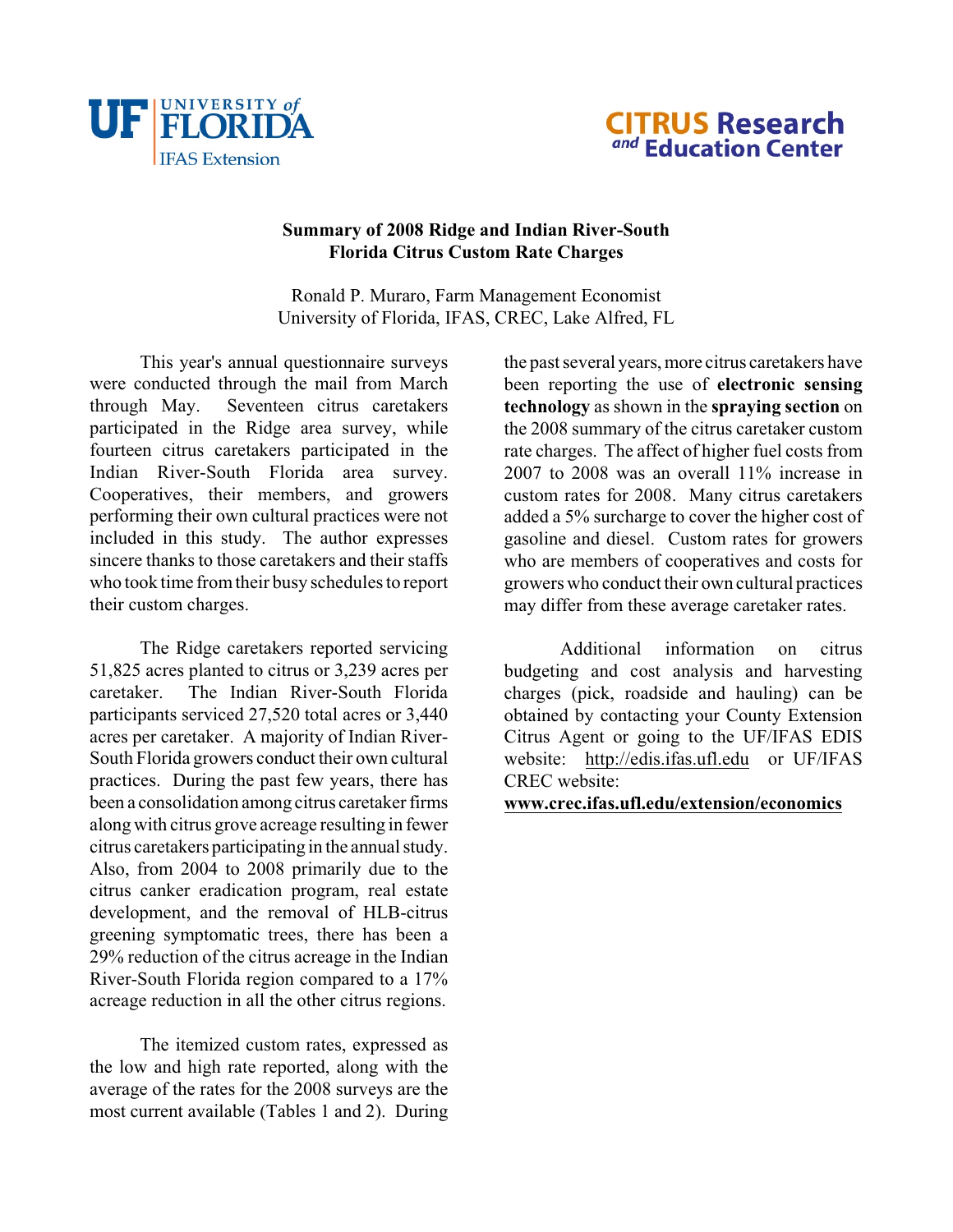



# **Summary of 2008 Ridge and Indian River-South Florida Citrus Custom Rate Charges**

Ronald P. Muraro, Farm Management Economist University of Florida, IFAS, CREC, Lake Alfred, FL

This year's annual questionnaire surveys were conducted through the mail from March through May. Seventeen citrus caretakers participated in the Ridge area survey, while fourteen citrus caretakers participated in the Indian River-South Florida area survey. Cooperatives, their members, and growers performing their own cultural practices were not included in this study. The author expresses sincere thanks to those caretakers and their staffs who took time from their busy schedules to report their custom charges.

The Ridge caretakers reported servicing 51,825 acres planted to citrus or 3,239 acres per caretaker. The Indian River-South Florida participants serviced 27,520 total acres or 3,440 acres per caretaker. A majority of Indian River-South Florida growers conduct their own cultural practices. During the past few years, there has been a consolidation among citrus caretaker firms along with citrus grove acreage resulting in fewer citrus caretakers participating in the annual study. Also, from 2004 to 2008 primarily due to the citrus canker eradication program, real estate development, and the removal of HLB-citrus greening symptomatic trees, there has been a 29% reduction of the citrus acreage in the Indian River-South Florida region compared to a 17% acreage reduction in all the other citrus regions.

<span id="page-0-0"></span>The itemized custom rates, expressed as the low and high rate reported, along with the average of the rates for the 2008 surveys are the most current available (Tables 1 and 2). During the past several years, more citrus caretakers have been reporting the use of **electronic sensing technology** as shown in the **spraying section** on the 2008 summary of the citrus caretaker custom rate charges. The affect of higher fuel costs from 2007 to 2008 was an overall 11% increase in custom rates for 2008. Many citrus caretakers added a 5% surcharge to cover the higher cost of gasoline and diesel. Custom rates for growers who are members of cooperatives and costs for growers who conduct their own cultural practices may differ from these average caretaker rates.

Additional information on citrus budgeting and cost analysis and harvesting charges (pick, roadside and hauling) can be obtained by contacting your County Extension Citrus Agent or going to the UF/IFAS EDIS website: [http://edis.ifas.ufl.edu](#page-0-0) or UF/IFAS CREC website:

## **[www.crec.ifas.ufl.edu/extension/economics](http://www.crec.ifas.ufl.edu/extension/economics)**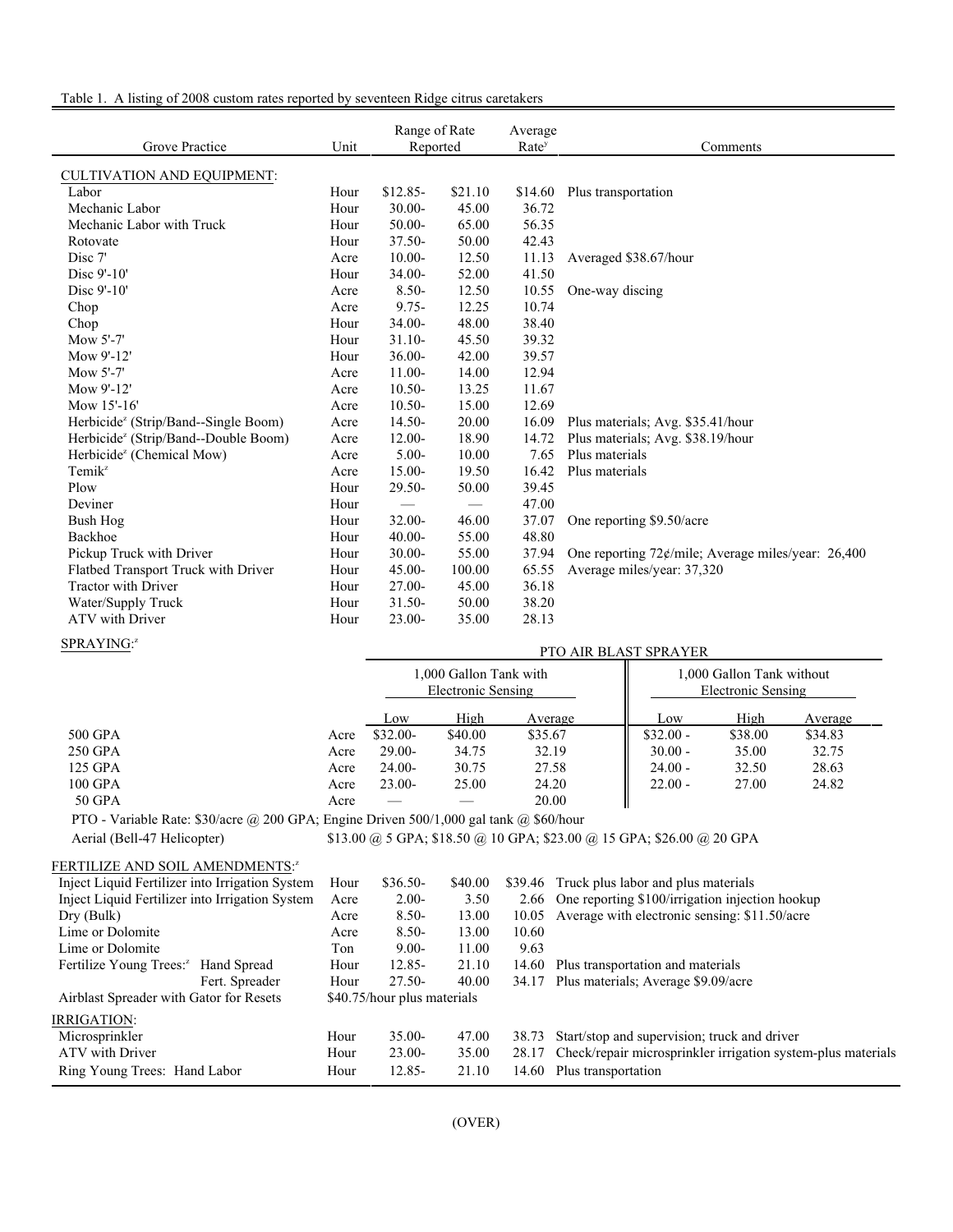### Table 1. A listing of 2008 custom rates reported by seventeen Ridge citrus caretakers

| Grove Practice                                   | Unit | Range of Rate<br>Reported |                   | Average<br>Rate <sup>y</sup> | Comments                                              |
|--------------------------------------------------|------|---------------------------|-------------------|------------------------------|-------------------------------------------------------|
| <b>CULTIVATION AND EQUIPMENT:</b>                |      |                           |                   |                              |                                                       |
| Labor                                            | Hour | $$12.85-$                 | \$21.10           | \$14.60                      | Plus transportation                                   |
| Mechanic Labor                                   | Hour | $30.00 -$                 | 45.00             | 36.72                        |                                                       |
| Mechanic Labor with Truck                        | Hour | $50.00 -$                 | 65.00             | 56.35                        |                                                       |
| Rotovate                                         | Hour | $37.50 -$                 | 50.00             | 42.43                        |                                                       |
| Disc 7'                                          | Acre | $10.00 -$                 | 12.50             | 11.13                        | Averaged \$38.67/hour                                 |
| Disc 9'-10'                                      | Hour | $34.00 -$                 | 52.00             | 41.50                        |                                                       |
| Disc 9'-10'                                      | Acre | $8.50 -$                  | 12.50             | 10.55                        | One-way discing                                       |
| Chop                                             | Acre | $9.75 -$                  | 12.25             | 10.74                        |                                                       |
| Chop                                             | Hour | 34.00-                    | 48.00             | 38.40                        |                                                       |
| Mow 5'-7'                                        | Hour | $31.10-$                  | 45.50             | 39.32                        |                                                       |
| Mow 9'-12'                                       | Hour | 36.00-                    | 42.00             | 39.57                        |                                                       |
| Mow $5'$ -7'                                     | Acre | $11.00-$                  | 14.00             | 12.94                        |                                                       |
| Mow 9'-12'                                       | Acre | $10.50 -$                 | 13.25             | 11.67                        |                                                       |
| Mow $15'$ -16'                                   | Acre | $10.50 -$                 | 15.00             | 12.69                        |                                                       |
| Herbicide <sup>z</sup> (Strip/Band--Single Boom) | Acre | $14.50 -$                 | 20.00             | 16.09                        | Plus materials; Avg. \$35.41/hour                     |
| Herbicide <sup>z</sup> (Strip/Band--Double Boom) | Acre | $12.00 -$                 | 18.90             | 14.72                        | Plus materials; Avg. \$38.19/hour                     |
| Herbicide <sup>z</sup> (Chemical Mow)            | Acre | $5.00 -$                  | 10.00             | 7.65                         | Plus materials                                        |
| $Temik^z$                                        | Acre | $15.00 -$                 | 19.50             | 16.42                        | Plus materials                                        |
| Plow                                             | Hour | 29.50-                    | 50.00             | 39.45                        |                                                       |
| Deviner                                          | Hour | $\hspace{0.05cm}$         | $\hspace{0.05cm}$ | 47.00                        |                                                       |
| Bush Hog                                         | Hour | $32.00 -$                 | 46.00             | 37.07                        | One reporting \$9.50/acre                             |
| Backhoe                                          | Hour | $40.00 -$                 | 55.00             | 48.80                        |                                                       |
| Pickup Truck with Driver                         | Hour | $30.00 -$                 | 55.00             | 37.94                        | One reporting $72¢$ /mile; Average miles/year: 26,400 |
| Flatbed Transport Truck with Driver              | Hour | $45.00 -$                 | 100.00            | 65.55                        | Average miles/year: 37,320                            |
| <b>Tractor with Driver</b>                       | Hour | 27.00-                    | 45.00             | 36.18                        |                                                       |
| Water/Supply Truck                               | Hour | $31.50 -$                 | 50.00             | 38.20                        |                                                       |
| <b>ATV</b> with Driver                           | Hour | $23.00 -$                 | 35.00             | 28.13                        |                                                       |

#### SPRAYING:<sup>z</sup>

| SPRAYING:" |      |           |                                              |         | PTO AIR BLAST SPRAYER |                                                 |         |  |  |
|------------|------|-----------|----------------------------------------------|---------|-----------------------|-------------------------------------------------|---------|--|--|
|            |      |           | 1,000 Gallon Tank with<br>Electronic Sensing |         |                       | 1,000 Gallon Tank without<br>Electronic Sensing |         |  |  |
|            |      | Low       | High                                         | Average | Low                   | High                                            | Average |  |  |
| 500 GPA    | Acre | $$32.00-$ | \$40.00                                      | \$35.67 | $$32.00 -$            | \$38.00                                         | \$34.83 |  |  |
| 250 GPA    | Acre | $29.00-$  | 34.75                                        | 32.19   | $30.00 -$             | 35.00                                           | 32.75   |  |  |
| 125 GPA    | Acre | $24.00-$  | 30.75                                        | 27.58   | $24.00 -$             | 32.50                                           | 28.63   |  |  |
| 100 GPA    | Acre | $23.00-$  | 25.00                                        | 24.20   | $22.00 -$             | 27.00                                           | 24.82   |  |  |
| 50 GPA     | Acre |           |                                              | 20.00   |                       |                                                 |         |  |  |

PTO - Variable Rate: \$30/acre @ 200 GPA; Engine Driven 500/1,000 gal tank @ \$60/hour

Aerial (Bell-47 Helicopter) \$13.00 @ 5 GPA; \$18.50 @ 10 GPA; \$23.00 @ 15 GPA; \$26.00 @ 20 GPA

#### FERTILIZE AND SOIL AMENDMENTS:2

| Inject Liquid Fertilizer into Irrigation System | Hour | $$36.50-$                   | \$40.00 |       | \$39.46 Truck plus labor and plus materials                  |
|-------------------------------------------------|------|-----------------------------|---------|-------|--------------------------------------------------------------|
| Inject Liquid Fertilizer into Irrigation System | Acre | $2.00-$                     | 3.50    |       | 2.66 One reporting \$100/irrigation injection hookup         |
| Dry (Bulk)                                      | Acre | $8.50 -$                    | 13.00   | 10.05 | Average with electronic sensing: \$11.50/acre                |
| Lime or Dolomite                                | Acre | $8.50 -$                    | 13.00   | 10.60 |                                                              |
| Lime or Dolomite                                | Ton  | $9.00 -$                    | 11.00   | 9.63  |                                                              |
| Fertilize Young Trees: <sup>2</sup> Hand Spread | Hour | $12.85 -$                   | 21.10   | 14.60 | Plus transportation and materials                            |
| Fert. Spreader                                  | Hour | $27.50-$                    | 40.00   | 34.17 | Plus materials; Average \$9.09/acre                          |
| Airblast Spreader with Gator for Resets         |      | \$40.75/hour plus materials |         |       |                                                              |
| IRRIGATION:                                     |      |                             |         |       |                                                              |
| Microsprinkler                                  | Hour | $35.00 -$                   | 47.00   | 38.73 | Start/stop and supervision; truck and driver                 |
| ATV with Driver                                 | Hour | $23.00 -$                   | 35.00   | 28.17 | Check/repair microsprinkler irrigation system-plus materials |
| Ring Young Trees: Hand Labor                    | Hour | $12.85 -$                   | 21.10   | 14.60 | Plus transportation                                          |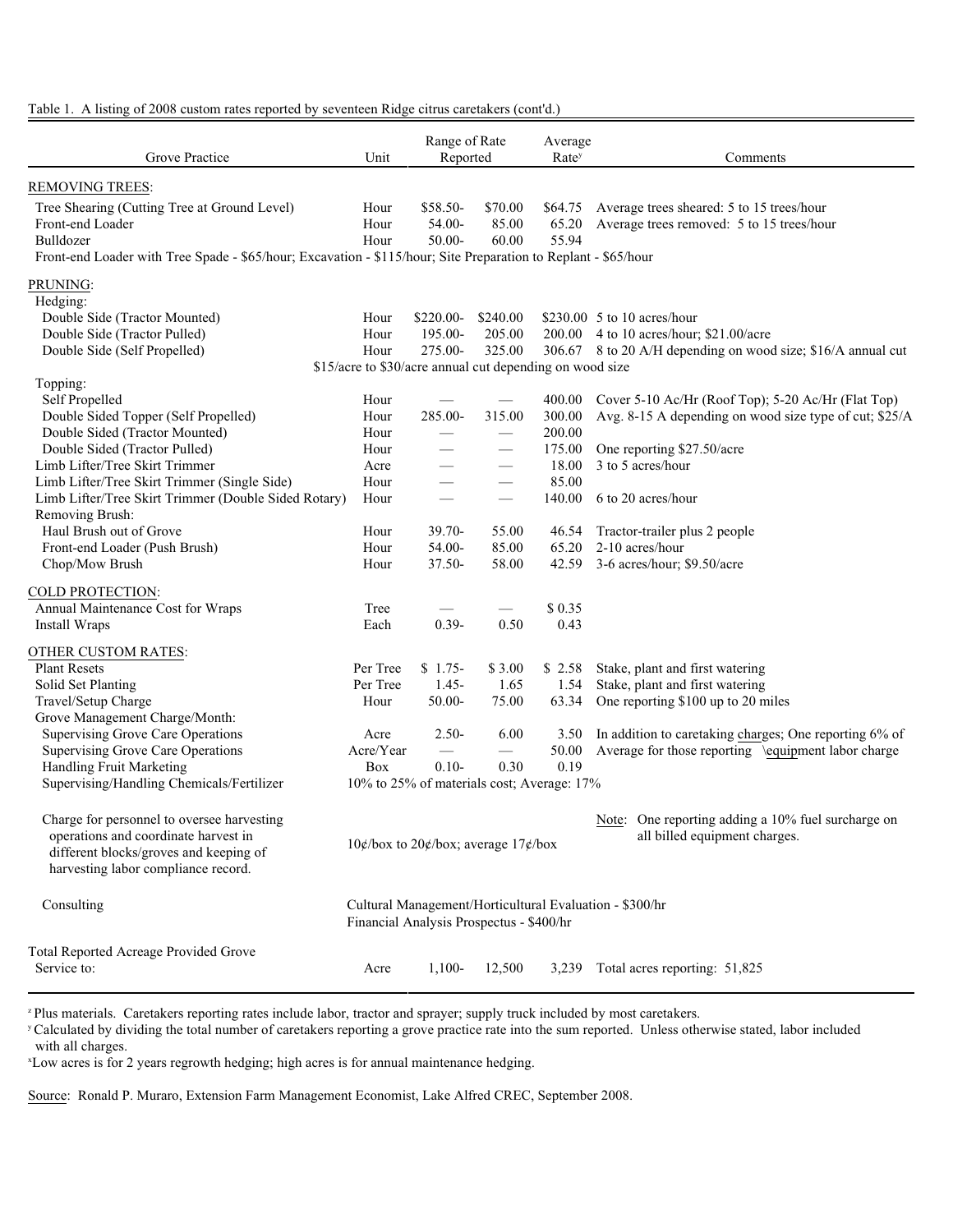Table 1. A listing of 2008 custom rates reported by seventeen Ridge citrus caretakers (cont'd.)

| REMOVING TREES:<br>Tree Shearing (Cutting Tree at Ground Level)<br>\$58.50-<br>Hour<br>\$70.00<br>\$64.75<br>Average trees sheared: 5 to 15 trees/hour<br>Average trees removed: 5 to 15 trees/hour<br>Front-end Loader<br>Hour<br>54.00-<br>85.00<br>65.20<br>55.94<br>Bulldozer<br>Hour<br>50.00-<br>60.00<br>Front-end Loader with Tree Spade - \$65/hour; Excavation - \$115/hour; Site Preparation to Replant - \$65/hour<br>PRUNING:<br>Hedging:<br>Double Side (Tractor Mounted)<br>Hour<br>$$220.00-$<br>\$240.00<br>\$230.00 $\,$ 5 to 10 acres/hour<br>Double Side (Tractor Pulled)<br>Hour<br>195.00-<br>205.00<br>200.00<br>4 to 10 acres/hour; \$21.00/acre<br>325.00<br>Double Side (Self Propelled)<br>Hour<br>275.00-<br>306.67 8 to 20 A/H depending on wood size; \$16/A annual cut<br>\$15/acre to \$30/acre annual cut depending on wood size<br>Topping:<br>Self Propelled<br>Hour<br>400.00<br>Cover 5-10 Ac/Hr (Roof Top); 5-20 Ac/Hr (Flat Top)<br>Double Sided Topper (Self Propelled)<br>285.00-<br>315.00<br>Avg. 8-15 A depending on wood size type of cut; \$25/A<br>Hour<br>300.00<br>Double Sided (Tractor Mounted)<br>200.00<br>Hour<br>Double Sided (Tractor Pulled)<br>175.00<br>Hour<br>One reporting \$27.50/acre<br>3 to 5 acres/hour<br>Limb Lifter/Tree Skirt Trimmer<br>18.00<br>Acre<br>85.00<br>Limb Lifter/Tree Skirt Trimmer (Single Side)<br>Hour<br>Limb Lifter/Tree Skirt Trimmer (Double Sided Rotary)<br>140.00<br>6 to 20 acres/hour<br>Hour<br>Removing Brush:<br>Haul Brush out of Grove<br>Hour<br>$39.70 -$<br>55.00<br>46.54<br>Tractor-trailer plus 2 people<br>Front-end Loader (Push Brush)<br>54.00-<br>85.00<br>65.20<br>2-10 acres/hour<br>Hour<br>Chop/Mow Brush<br>$37.50 -$<br>58.00<br>42.59<br>3-6 acres/hour; \$9.50/acre<br>Hour<br>COLD PROTECTION:<br>Annual Maintenance Cost for Wraps<br>\$0.35<br>Tree<br>$0.39 -$<br>0.50<br>0.43<br>Install Wraps<br>Each<br>OTHER CUSTOM RATES:<br><b>Plant Resets</b><br>Per Tree<br>Stake, plant and first watering<br>$$1.75-$<br>\$3.00<br>\$2.58<br>Stake, plant and first watering<br>Solid Set Planting<br>Per Tree<br>$1.45 -$<br>1.54<br>1.65<br>Travel/Setup Charge<br>50.00-<br>63.34<br>One reporting \$100 up to 20 miles<br>Hour<br>75.00<br>Grove Management Charge/Month:<br><b>Supervising Grove Care Operations</b><br>In addition to caretaking charges; One reporting 6% of<br>Acre<br>$2.50-$<br>6.00<br>3.50<br>Supervising Grove Care Operations<br>Average for those reporting \equipment labor charge<br>Acre/Year<br>50.00<br>$\overbrace{\phantom{aaaaa}}$<br>Handling Fruit Marketing<br>0.19<br>$0.10-$<br>0.30<br>Box<br>Supervising/Handling Chemicals/Fertilizer<br>10% to 25% of materials cost; Average: 17%<br>Charge for personnel to oversee harvesting<br>Note: One reporting adding a 10% fuel surcharge on<br>operations and coordinate harvest in<br>all billed equipment charges.<br>10¢/box to 20¢/box; average 17¢/box<br>different blocks/groves and keeping of<br>harvesting labor compliance record.<br>Consulting<br>Cultural Management/Horticultural Evaluation - \$300/hr<br>Financial Analysis Prospectus - \$400/hr<br><b>Total Reported Acreage Provided Grove</b><br>Service to:<br>Total acres reporting: 51,825<br>$1,100-$<br>12,500<br>Acre<br>3,239 | Grove Practice | Unit | Range of Rate<br>Reported | Average<br>Rate <sup>y</sup> | Comments |
|-----------------------------------------------------------------------------------------------------------------------------------------------------------------------------------------------------------------------------------------------------------------------------------------------------------------------------------------------------------------------------------------------------------------------------------------------------------------------------------------------------------------------------------------------------------------------------------------------------------------------------------------------------------------------------------------------------------------------------------------------------------------------------------------------------------------------------------------------------------------------------------------------------------------------------------------------------------------------------------------------------------------------------------------------------------------------------------------------------------------------------------------------------------------------------------------------------------------------------------------------------------------------------------------------------------------------------------------------------------------------------------------------------------------------------------------------------------------------------------------------------------------------------------------------------------------------------------------------------------------------------------------------------------------------------------------------------------------------------------------------------------------------------------------------------------------------------------------------------------------------------------------------------------------------------------------------------------------------------------------------------------------------------------------------------------------------------------------------------------------------------------------------------------------------------------------------------------------------------------------------------------------------------------------------------------------------------------------------------------------------------------------------------------------------------------------------------------------------------------------------------------------------------------------------------------------------------------------------------------------------------------------------------------------------------------------------------------------------------------------------------------------------------------------------------------------------------------------------------------------------------------------------------------------------------------------------------------------------------------------------------------------------------------------------------------------------------------------------------------------------------------------------------------------------------------------------------------------------------------------------------------------------------------------------------------------------------|----------------|------|---------------------------|------------------------------|----------|
|                                                                                                                                                                                                                                                                                                                                                                                                                                                                                                                                                                                                                                                                                                                                                                                                                                                                                                                                                                                                                                                                                                                                                                                                                                                                                                                                                                                                                                                                                                                                                                                                                                                                                                                                                                                                                                                                                                                                                                                                                                                                                                                                                                                                                                                                                                                                                                                                                                                                                                                                                                                                                                                                                                                                                                                                                                                                                                                                                                                                                                                                                                                                                                                                                                                                                                                             |                |      |                           |                              |          |
|                                                                                                                                                                                                                                                                                                                                                                                                                                                                                                                                                                                                                                                                                                                                                                                                                                                                                                                                                                                                                                                                                                                                                                                                                                                                                                                                                                                                                                                                                                                                                                                                                                                                                                                                                                                                                                                                                                                                                                                                                                                                                                                                                                                                                                                                                                                                                                                                                                                                                                                                                                                                                                                                                                                                                                                                                                                                                                                                                                                                                                                                                                                                                                                                                                                                                                                             |                |      |                           |                              |          |
|                                                                                                                                                                                                                                                                                                                                                                                                                                                                                                                                                                                                                                                                                                                                                                                                                                                                                                                                                                                                                                                                                                                                                                                                                                                                                                                                                                                                                                                                                                                                                                                                                                                                                                                                                                                                                                                                                                                                                                                                                                                                                                                                                                                                                                                                                                                                                                                                                                                                                                                                                                                                                                                                                                                                                                                                                                                                                                                                                                                                                                                                                                                                                                                                                                                                                                                             |                |      |                           |                              |          |
|                                                                                                                                                                                                                                                                                                                                                                                                                                                                                                                                                                                                                                                                                                                                                                                                                                                                                                                                                                                                                                                                                                                                                                                                                                                                                                                                                                                                                                                                                                                                                                                                                                                                                                                                                                                                                                                                                                                                                                                                                                                                                                                                                                                                                                                                                                                                                                                                                                                                                                                                                                                                                                                                                                                                                                                                                                                                                                                                                                                                                                                                                                                                                                                                                                                                                                                             |                |      |                           |                              |          |
|                                                                                                                                                                                                                                                                                                                                                                                                                                                                                                                                                                                                                                                                                                                                                                                                                                                                                                                                                                                                                                                                                                                                                                                                                                                                                                                                                                                                                                                                                                                                                                                                                                                                                                                                                                                                                                                                                                                                                                                                                                                                                                                                                                                                                                                                                                                                                                                                                                                                                                                                                                                                                                                                                                                                                                                                                                                                                                                                                                                                                                                                                                                                                                                                                                                                                                                             |                |      |                           |                              |          |
|                                                                                                                                                                                                                                                                                                                                                                                                                                                                                                                                                                                                                                                                                                                                                                                                                                                                                                                                                                                                                                                                                                                                                                                                                                                                                                                                                                                                                                                                                                                                                                                                                                                                                                                                                                                                                                                                                                                                                                                                                                                                                                                                                                                                                                                                                                                                                                                                                                                                                                                                                                                                                                                                                                                                                                                                                                                                                                                                                                                                                                                                                                                                                                                                                                                                                                                             |                |      |                           |                              |          |
|                                                                                                                                                                                                                                                                                                                                                                                                                                                                                                                                                                                                                                                                                                                                                                                                                                                                                                                                                                                                                                                                                                                                                                                                                                                                                                                                                                                                                                                                                                                                                                                                                                                                                                                                                                                                                                                                                                                                                                                                                                                                                                                                                                                                                                                                                                                                                                                                                                                                                                                                                                                                                                                                                                                                                                                                                                                                                                                                                                                                                                                                                                                                                                                                                                                                                                                             |                |      |                           |                              |          |
|                                                                                                                                                                                                                                                                                                                                                                                                                                                                                                                                                                                                                                                                                                                                                                                                                                                                                                                                                                                                                                                                                                                                                                                                                                                                                                                                                                                                                                                                                                                                                                                                                                                                                                                                                                                                                                                                                                                                                                                                                                                                                                                                                                                                                                                                                                                                                                                                                                                                                                                                                                                                                                                                                                                                                                                                                                                                                                                                                                                                                                                                                                                                                                                                                                                                                                                             |                |      |                           |                              |          |
|                                                                                                                                                                                                                                                                                                                                                                                                                                                                                                                                                                                                                                                                                                                                                                                                                                                                                                                                                                                                                                                                                                                                                                                                                                                                                                                                                                                                                                                                                                                                                                                                                                                                                                                                                                                                                                                                                                                                                                                                                                                                                                                                                                                                                                                                                                                                                                                                                                                                                                                                                                                                                                                                                                                                                                                                                                                                                                                                                                                                                                                                                                                                                                                                                                                                                                                             |                |      |                           |                              |          |
|                                                                                                                                                                                                                                                                                                                                                                                                                                                                                                                                                                                                                                                                                                                                                                                                                                                                                                                                                                                                                                                                                                                                                                                                                                                                                                                                                                                                                                                                                                                                                                                                                                                                                                                                                                                                                                                                                                                                                                                                                                                                                                                                                                                                                                                                                                                                                                                                                                                                                                                                                                                                                                                                                                                                                                                                                                                                                                                                                                                                                                                                                                                                                                                                                                                                                                                             |                |      |                           |                              |          |
|                                                                                                                                                                                                                                                                                                                                                                                                                                                                                                                                                                                                                                                                                                                                                                                                                                                                                                                                                                                                                                                                                                                                                                                                                                                                                                                                                                                                                                                                                                                                                                                                                                                                                                                                                                                                                                                                                                                                                                                                                                                                                                                                                                                                                                                                                                                                                                                                                                                                                                                                                                                                                                                                                                                                                                                                                                                                                                                                                                                                                                                                                                                                                                                                                                                                                                                             |                |      |                           |                              |          |
|                                                                                                                                                                                                                                                                                                                                                                                                                                                                                                                                                                                                                                                                                                                                                                                                                                                                                                                                                                                                                                                                                                                                                                                                                                                                                                                                                                                                                                                                                                                                                                                                                                                                                                                                                                                                                                                                                                                                                                                                                                                                                                                                                                                                                                                                                                                                                                                                                                                                                                                                                                                                                                                                                                                                                                                                                                                                                                                                                                                                                                                                                                                                                                                                                                                                                                                             |                |      |                           |                              |          |
|                                                                                                                                                                                                                                                                                                                                                                                                                                                                                                                                                                                                                                                                                                                                                                                                                                                                                                                                                                                                                                                                                                                                                                                                                                                                                                                                                                                                                                                                                                                                                                                                                                                                                                                                                                                                                                                                                                                                                                                                                                                                                                                                                                                                                                                                                                                                                                                                                                                                                                                                                                                                                                                                                                                                                                                                                                                                                                                                                                                                                                                                                                                                                                                                                                                                                                                             |                |      |                           |                              |          |
|                                                                                                                                                                                                                                                                                                                                                                                                                                                                                                                                                                                                                                                                                                                                                                                                                                                                                                                                                                                                                                                                                                                                                                                                                                                                                                                                                                                                                                                                                                                                                                                                                                                                                                                                                                                                                                                                                                                                                                                                                                                                                                                                                                                                                                                                                                                                                                                                                                                                                                                                                                                                                                                                                                                                                                                                                                                                                                                                                                                                                                                                                                                                                                                                                                                                                                                             |                |      |                           |                              |          |
|                                                                                                                                                                                                                                                                                                                                                                                                                                                                                                                                                                                                                                                                                                                                                                                                                                                                                                                                                                                                                                                                                                                                                                                                                                                                                                                                                                                                                                                                                                                                                                                                                                                                                                                                                                                                                                                                                                                                                                                                                                                                                                                                                                                                                                                                                                                                                                                                                                                                                                                                                                                                                                                                                                                                                                                                                                                                                                                                                                                                                                                                                                                                                                                                                                                                                                                             |                |      |                           |                              |          |
|                                                                                                                                                                                                                                                                                                                                                                                                                                                                                                                                                                                                                                                                                                                                                                                                                                                                                                                                                                                                                                                                                                                                                                                                                                                                                                                                                                                                                                                                                                                                                                                                                                                                                                                                                                                                                                                                                                                                                                                                                                                                                                                                                                                                                                                                                                                                                                                                                                                                                                                                                                                                                                                                                                                                                                                                                                                                                                                                                                                                                                                                                                                                                                                                                                                                                                                             |                |      |                           |                              |          |
|                                                                                                                                                                                                                                                                                                                                                                                                                                                                                                                                                                                                                                                                                                                                                                                                                                                                                                                                                                                                                                                                                                                                                                                                                                                                                                                                                                                                                                                                                                                                                                                                                                                                                                                                                                                                                                                                                                                                                                                                                                                                                                                                                                                                                                                                                                                                                                                                                                                                                                                                                                                                                                                                                                                                                                                                                                                                                                                                                                                                                                                                                                                                                                                                                                                                                                                             |                |      |                           |                              |          |
|                                                                                                                                                                                                                                                                                                                                                                                                                                                                                                                                                                                                                                                                                                                                                                                                                                                                                                                                                                                                                                                                                                                                                                                                                                                                                                                                                                                                                                                                                                                                                                                                                                                                                                                                                                                                                                                                                                                                                                                                                                                                                                                                                                                                                                                                                                                                                                                                                                                                                                                                                                                                                                                                                                                                                                                                                                                                                                                                                                                                                                                                                                                                                                                                                                                                                                                             |                |      |                           |                              |          |
|                                                                                                                                                                                                                                                                                                                                                                                                                                                                                                                                                                                                                                                                                                                                                                                                                                                                                                                                                                                                                                                                                                                                                                                                                                                                                                                                                                                                                                                                                                                                                                                                                                                                                                                                                                                                                                                                                                                                                                                                                                                                                                                                                                                                                                                                                                                                                                                                                                                                                                                                                                                                                                                                                                                                                                                                                                                                                                                                                                                                                                                                                                                                                                                                                                                                                                                             |                |      |                           |                              |          |
|                                                                                                                                                                                                                                                                                                                                                                                                                                                                                                                                                                                                                                                                                                                                                                                                                                                                                                                                                                                                                                                                                                                                                                                                                                                                                                                                                                                                                                                                                                                                                                                                                                                                                                                                                                                                                                                                                                                                                                                                                                                                                                                                                                                                                                                                                                                                                                                                                                                                                                                                                                                                                                                                                                                                                                                                                                                                                                                                                                                                                                                                                                                                                                                                                                                                                                                             |                |      |                           |                              |          |
|                                                                                                                                                                                                                                                                                                                                                                                                                                                                                                                                                                                                                                                                                                                                                                                                                                                                                                                                                                                                                                                                                                                                                                                                                                                                                                                                                                                                                                                                                                                                                                                                                                                                                                                                                                                                                                                                                                                                                                                                                                                                                                                                                                                                                                                                                                                                                                                                                                                                                                                                                                                                                                                                                                                                                                                                                                                                                                                                                                                                                                                                                                                                                                                                                                                                                                                             |                |      |                           |                              |          |
|                                                                                                                                                                                                                                                                                                                                                                                                                                                                                                                                                                                                                                                                                                                                                                                                                                                                                                                                                                                                                                                                                                                                                                                                                                                                                                                                                                                                                                                                                                                                                                                                                                                                                                                                                                                                                                                                                                                                                                                                                                                                                                                                                                                                                                                                                                                                                                                                                                                                                                                                                                                                                                                                                                                                                                                                                                                                                                                                                                                                                                                                                                                                                                                                                                                                                                                             |                |      |                           |                              |          |
|                                                                                                                                                                                                                                                                                                                                                                                                                                                                                                                                                                                                                                                                                                                                                                                                                                                                                                                                                                                                                                                                                                                                                                                                                                                                                                                                                                                                                                                                                                                                                                                                                                                                                                                                                                                                                                                                                                                                                                                                                                                                                                                                                                                                                                                                                                                                                                                                                                                                                                                                                                                                                                                                                                                                                                                                                                                                                                                                                                                                                                                                                                                                                                                                                                                                                                                             |                |      |                           |                              |          |
|                                                                                                                                                                                                                                                                                                                                                                                                                                                                                                                                                                                                                                                                                                                                                                                                                                                                                                                                                                                                                                                                                                                                                                                                                                                                                                                                                                                                                                                                                                                                                                                                                                                                                                                                                                                                                                                                                                                                                                                                                                                                                                                                                                                                                                                                                                                                                                                                                                                                                                                                                                                                                                                                                                                                                                                                                                                                                                                                                                                                                                                                                                                                                                                                                                                                                                                             |                |      |                           |                              |          |
|                                                                                                                                                                                                                                                                                                                                                                                                                                                                                                                                                                                                                                                                                                                                                                                                                                                                                                                                                                                                                                                                                                                                                                                                                                                                                                                                                                                                                                                                                                                                                                                                                                                                                                                                                                                                                                                                                                                                                                                                                                                                                                                                                                                                                                                                                                                                                                                                                                                                                                                                                                                                                                                                                                                                                                                                                                                                                                                                                                                                                                                                                                                                                                                                                                                                                                                             |                |      |                           |                              |          |
|                                                                                                                                                                                                                                                                                                                                                                                                                                                                                                                                                                                                                                                                                                                                                                                                                                                                                                                                                                                                                                                                                                                                                                                                                                                                                                                                                                                                                                                                                                                                                                                                                                                                                                                                                                                                                                                                                                                                                                                                                                                                                                                                                                                                                                                                                                                                                                                                                                                                                                                                                                                                                                                                                                                                                                                                                                                                                                                                                                                                                                                                                                                                                                                                                                                                                                                             |                |      |                           |                              |          |
|                                                                                                                                                                                                                                                                                                                                                                                                                                                                                                                                                                                                                                                                                                                                                                                                                                                                                                                                                                                                                                                                                                                                                                                                                                                                                                                                                                                                                                                                                                                                                                                                                                                                                                                                                                                                                                                                                                                                                                                                                                                                                                                                                                                                                                                                                                                                                                                                                                                                                                                                                                                                                                                                                                                                                                                                                                                                                                                                                                                                                                                                                                                                                                                                                                                                                                                             |                |      |                           |                              |          |
|                                                                                                                                                                                                                                                                                                                                                                                                                                                                                                                                                                                                                                                                                                                                                                                                                                                                                                                                                                                                                                                                                                                                                                                                                                                                                                                                                                                                                                                                                                                                                                                                                                                                                                                                                                                                                                                                                                                                                                                                                                                                                                                                                                                                                                                                                                                                                                                                                                                                                                                                                                                                                                                                                                                                                                                                                                                                                                                                                                                                                                                                                                                                                                                                                                                                                                                             |                |      |                           |                              |          |
|                                                                                                                                                                                                                                                                                                                                                                                                                                                                                                                                                                                                                                                                                                                                                                                                                                                                                                                                                                                                                                                                                                                                                                                                                                                                                                                                                                                                                                                                                                                                                                                                                                                                                                                                                                                                                                                                                                                                                                                                                                                                                                                                                                                                                                                                                                                                                                                                                                                                                                                                                                                                                                                                                                                                                                                                                                                                                                                                                                                                                                                                                                                                                                                                                                                                                                                             |                |      |                           |                              |          |
|                                                                                                                                                                                                                                                                                                                                                                                                                                                                                                                                                                                                                                                                                                                                                                                                                                                                                                                                                                                                                                                                                                                                                                                                                                                                                                                                                                                                                                                                                                                                                                                                                                                                                                                                                                                                                                                                                                                                                                                                                                                                                                                                                                                                                                                                                                                                                                                                                                                                                                                                                                                                                                                                                                                                                                                                                                                                                                                                                                                                                                                                                                                                                                                                                                                                                                                             |                |      |                           |                              |          |
|                                                                                                                                                                                                                                                                                                                                                                                                                                                                                                                                                                                                                                                                                                                                                                                                                                                                                                                                                                                                                                                                                                                                                                                                                                                                                                                                                                                                                                                                                                                                                                                                                                                                                                                                                                                                                                                                                                                                                                                                                                                                                                                                                                                                                                                                                                                                                                                                                                                                                                                                                                                                                                                                                                                                                                                                                                                                                                                                                                                                                                                                                                                                                                                                                                                                                                                             |                |      |                           |                              |          |
|                                                                                                                                                                                                                                                                                                                                                                                                                                                                                                                                                                                                                                                                                                                                                                                                                                                                                                                                                                                                                                                                                                                                                                                                                                                                                                                                                                                                                                                                                                                                                                                                                                                                                                                                                                                                                                                                                                                                                                                                                                                                                                                                                                                                                                                                                                                                                                                                                                                                                                                                                                                                                                                                                                                                                                                                                                                                                                                                                                                                                                                                                                                                                                                                                                                                                                                             |                |      |                           |                              |          |
|                                                                                                                                                                                                                                                                                                                                                                                                                                                                                                                                                                                                                                                                                                                                                                                                                                                                                                                                                                                                                                                                                                                                                                                                                                                                                                                                                                                                                                                                                                                                                                                                                                                                                                                                                                                                                                                                                                                                                                                                                                                                                                                                                                                                                                                                                                                                                                                                                                                                                                                                                                                                                                                                                                                                                                                                                                                                                                                                                                                                                                                                                                                                                                                                                                                                                                                             |                |      |                           |                              |          |
|                                                                                                                                                                                                                                                                                                                                                                                                                                                                                                                                                                                                                                                                                                                                                                                                                                                                                                                                                                                                                                                                                                                                                                                                                                                                                                                                                                                                                                                                                                                                                                                                                                                                                                                                                                                                                                                                                                                                                                                                                                                                                                                                                                                                                                                                                                                                                                                                                                                                                                                                                                                                                                                                                                                                                                                                                                                                                                                                                                                                                                                                                                                                                                                                                                                                                                                             |                |      |                           |                              |          |
|                                                                                                                                                                                                                                                                                                                                                                                                                                                                                                                                                                                                                                                                                                                                                                                                                                                                                                                                                                                                                                                                                                                                                                                                                                                                                                                                                                                                                                                                                                                                                                                                                                                                                                                                                                                                                                                                                                                                                                                                                                                                                                                                                                                                                                                                                                                                                                                                                                                                                                                                                                                                                                                                                                                                                                                                                                                                                                                                                                                                                                                                                                                                                                                                                                                                                                                             |                |      |                           |                              |          |
|                                                                                                                                                                                                                                                                                                                                                                                                                                                                                                                                                                                                                                                                                                                                                                                                                                                                                                                                                                                                                                                                                                                                                                                                                                                                                                                                                                                                                                                                                                                                                                                                                                                                                                                                                                                                                                                                                                                                                                                                                                                                                                                                                                                                                                                                                                                                                                                                                                                                                                                                                                                                                                                                                                                                                                                                                                                                                                                                                                                                                                                                                                                                                                                                                                                                                                                             |                |      |                           |                              |          |
|                                                                                                                                                                                                                                                                                                                                                                                                                                                                                                                                                                                                                                                                                                                                                                                                                                                                                                                                                                                                                                                                                                                                                                                                                                                                                                                                                                                                                                                                                                                                                                                                                                                                                                                                                                                                                                                                                                                                                                                                                                                                                                                                                                                                                                                                                                                                                                                                                                                                                                                                                                                                                                                                                                                                                                                                                                                                                                                                                                                                                                                                                                                                                                                                                                                                                                                             |                |      |                           |                              |          |
|                                                                                                                                                                                                                                                                                                                                                                                                                                                                                                                                                                                                                                                                                                                                                                                                                                                                                                                                                                                                                                                                                                                                                                                                                                                                                                                                                                                                                                                                                                                                                                                                                                                                                                                                                                                                                                                                                                                                                                                                                                                                                                                                                                                                                                                                                                                                                                                                                                                                                                                                                                                                                                                                                                                                                                                                                                                                                                                                                                                                                                                                                                                                                                                                                                                                                                                             |                |      |                           |                              |          |
|                                                                                                                                                                                                                                                                                                                                                                                                                                                                                                                                                                                                                                                                                                                                                                                                                                                                                                                                                                                                                                                                                                                                                                                                                                                                                                                                                                                                                                                                                                                                                                                                                                                                                                                                                                                                                                                                                                                                                                                                                                                                                                                                                                                                                                                                                                                                                                                                                                                                                                                                                                                                                                                                                                                                                                                                                                                                                                                                                                                                                                                                                                                                                                                                                                                                                                                             |                |      |                           |                              |          |
|                                                                                                                                                                                                                                                                                                                                                                                                                                                                                                                                                                                                                                                                                                                                                                                                                                                                                                                                                                                                                                                                                                                                                                                                                                                                                                                                                                                                                                                                                                                                                                                                                                                                                                                                                                                                                                                                                                                                                                                                                                                                                                                                                                                                                                                                                                                                                                                                                                                                                                                                                                                                                                                                                                                                                                                                                                                                                                                                                                                                                                                                                                                                                                                                                                                                                                                             |                |      |                           |                              |          |

<sup>z</sup> Plus materials. Caretakers reporting rates include labor, tractor and sprayer; supply truck included by most caretakers.

<sup>y</sup> Calculated by dividing the total number of caretakers reporting a grove practice rate into the sum reported. Unless otherwise stated, labor included with all charges.

<sup>x</sup>Low acres is for 2 years regrowth hedging; high acres is for annual maintenance hedging.

Source: Ronald P. Muraro, Extension Farm Management Economist, Lake Alfred CREC, September 2008.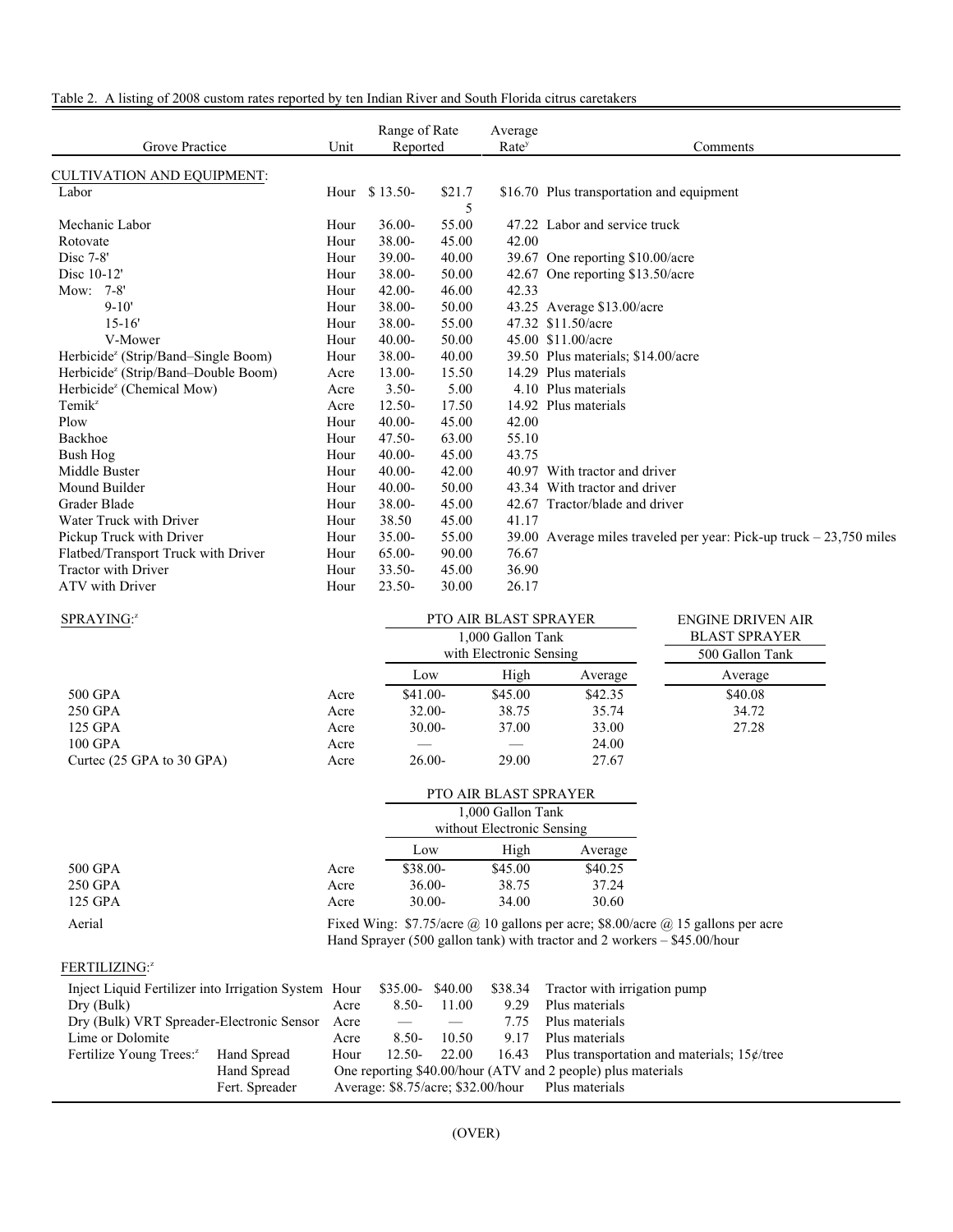|  | Table 2. A listing of 2008 custom rates reported by ten Indian River and South Florida citrus caretakers |
|--|----------------------------------------------------------------------------------------------------------|
|--|----------------------------------------------------------------------------------------------------------|

| Grove Practice                                  | Unit | Range of Rate<br>Reported |        | Average<br>Rate <sup>y</sup> | Comments                                                             |
|-------------------------------------------------|------|---------------------------|--------|------------------------------|----------------------------------------------------------------------|
| <b>CULTIVATION AND EQUIPMENT:</b>               |      |                           |        |                              |                                                                      |
| Labor                                           |      | Hour \$13.50-             | \$21.7 |                              | \$16.70 Plus transportation and equipment                            |
|                                                 |      |                           | 5      |                              |                                                                      |
| Mechanic Labor                                  | Hour | $36.00 -$                 | 55.00  |                              | 47.22 Labor and service truck                                        |
| Rotovate                                        | Hour | 38.00-                    | 45.00  | 42.00                        |                                                                      |
| Disc 7-8'                                       | Hour | $39.00 -$                 | 40.00  |                              | 39.67 One reporting \$10.00/acre                                     |
| Disc 10-12'                                     | Hour | $38.00 -$                 | 50.00  |                              | 42.67 One reporting \$13.50/acre                                     |
| Mow: 7-8'                                       | Hour | $42.00 -$                 | 46.00  | 42.33                        |                                                                      |
| $9 - 10'$                                       | Hour | $38.00 -$                 | 50.00  |                              | 43.25 Average \$13.00/acre                                           |
| $15 - 16'$                                      | Hour | $38.00 -$                 | 55.00  |                              | 47.32 \$11.50/acre                                                   |
| V-Mower                                         | Hour | $40.00 -$                 | 50.00  |                              | 45.00 \$11.00/acre                                                   |
| Herbicide <sup>z</sup> (Strip/Band–Single Boom) | Hour | 38.00-                    | 40.00  |                              | 39.50 Plus materials; \$14.00/acre                                   |
| Herbicide <sup>z</sup> (Strip/Band-Double Boom) | Acre | $13.00 -$                 | 15.50  |                              | 14.29 Plus materials                                                 |
| Herbicide <sup>z</sup> (Chemical Mow)           | Acre | $3.50 -$                  | 5.00   |                              | 4.10 Plus materials                                                  |
| Temik <sup>z</sup>                              | Acre | $12.50 -$                 | 17.50  |                              | 14.92 Plus materials                                                 |
| Plow                                            | Hour | $40.00 -$                 | 45.00  | 42.00                        |                                                                      |
| Backhoe                                         | Hour | $47.50 -$                 | 63.00  | 55.10                        |                                                                      |
| Bush Hog                                        | Hour | $40.00 -$                 | 45.00  | 43.75                        |                                                                      |
| Middle Buster                                   | Hour | $40.00 -$                 | 42.00  |                              | 40.97 With tractor and driver                                        |
| Mound Builder                                   | Hour | $40.00 -$                 | 50.00  |                              | 43.34 With tractor and driver                                        |
| Grader Blade                                    | Hour | $38.00 -$                 | 45.00  |                              | 42.67 Tractor/blade and driver                                       |
| Water Truck with Driver                         | Hour | 38.50                     | 45.00  | 41.17                        |                                                                      |
| Pickup Truck with Driver                        | Hour | $35.00 -$                 | 55.00  |                              | 39.00 Average miles traveled per year: Pick-up truck $-23,750$ miles |
| Flatbed/Transport Truck with Driver             | Hour | $65.00 -$                 | 90.00  | 76.67                        |                                                                      |
| <b>Tractor with Driver</b>                      | Hour | $33.50 -$                 | 45.00  | 36.90                        |                                                                      |
| ATV with Driver                                 | Hour | $23.50 -$                 | 30.00  | 26.17                        |                                                                      |

| SPRAYING: <sup>z</sup>    |      |           | <b>PTO AIR BLAST SPRAYER</b> |         | ENGINE DRIVEN AIR    |
|---------------------------|------|-----------|------------------------------|---------|----------------------|
|                           |      |           | 1,000 Gallon Tank            |         | <b>BLAST SPRAYER</b> |
|                           |      |           | with Electronic Sensing      |         | 500 Gallon Tank      |
|                           |      | Low       | High                         | Average | Average              |
| 500 GPA                   | Acre | $$41.00-$ | \$45.00                      | \$42.35 | \$40.08              |
| 250 GPA                   | Acre | $32.00 -$ | 38.75                        | 35.74   | 34.72                |
| 125 GPA                   | Acre | $30.00-$  | 37.00                        | 33.00   | 27.28                |
| 100 GPA                   | Acre |           |                              | 24.00   |                      |
| Curtec (25 GPA to 30 GPA) | Acre | $26.00-$  | 29.00                        | 27.67   |                      |

|           |      | <b>PTO AIR BLAST SPRAYER</b> |                            |         |  |  |
|-----------|------|------------------------------|----------------------------|---------|--|--|
|           |      | 1,000 Gallon Tank            |                            |         |  |  |
|           |      |                              | without Electronic Sensing |         |  |  |
|           |      | Low                          | Average                    |         |  |  |
| 500 GPA   | Acre | $$38.00-$                    | \$45.00                    | \$40.25 |  |  |
| 250 GPA   | Acre | $36.00-$                     | 38.75                      | 37.24   |  |  |
| $125$ GPA | Acre | $30.00 -$                    | 34.00                      | 30.60   |  |  |

Aerial Fixed Wing: \$7.75/acre @ 10 gallons per acre; \$8.00/acre @ 15 gallons per acre Hand Sprayer (500 gallon tank) with tractor and 2 workers – \$45.00/hour

### FERTILIZING:<sup>z</sup>

|                                                | Inject Liquid Fertilizer into Irrigation System Hour \$35.00-\$40.00 |                                                              |          |       |      | \$38.34 Tractor with irrigation pump                 |  |
|------------------------------------------------|----------------------------------------------------------------------|--------------------------------------------------------------|----------|-------|------|------------------------------------------------------|--|
| Dry (Bulk)                                     |                                                                      | Acre                                                         | $8.50-$  | 11.00 | 9.29 | Plus materials                                       |  |
| Dry (Bulk) VRT Spreader-Electronic Sensor Acre |                                                                      |                                                              |          |       | 7.75 | Plus materials                                       |  |
| Lime or Dolomite                               |                                                                      | Acre                                                         | $8.50-$  | 10.50 | 9.17 | Plus materials                                       |  |
| Fertilize Young Trees: <sup>2</sup>            | Hand Spread                                                          | Hour                                                         | $12.50-$ | 22.00 |      | 16.43 Plus transportation and materials; $15¢$ /tree |  |
|                                                | Hand Spread                                                          | One reporting \$40.00/hour (ATV and 2 people) plus materials |          |       |      |                                                      |  |
|                                                | Fert. Spreader                                                       |                                                              |          |       |      | Average: \$8.75/acre; \$32.00/hour Plus materials    |  |